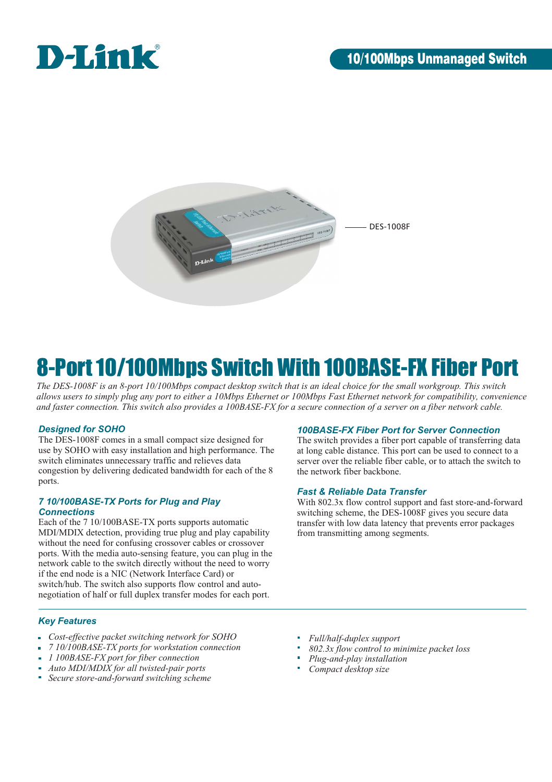



# 8-Port 10/100Mbps Switch With 100BASE-FX Fiber Port

*The DES-1008F is an 8-port 10/100Mbps compact desktop switch that is an ideal choice for the small workgroup. This switch allows users to simply plug any port to either a 10Mbps Ethernet or 100Mbps Fast Ethernet network for compatibility, convenience and faster connection. This switch also provides a 100BASE-FX for a secure connection of a server on a fiber network cable.* 

## *Designed for SOHO*

The DES-1008F comes in a small compact size designed for use by SOHO with easy installation and high performance. The switch eliminates unnecessary traffic and relieves data congestion by delivering dedicated bandwidth for each of the 8 ports.

### *7 10/100BASE-TX Ports for Plug and Play Connections*

Each of the 7 10/100BASE-TX ports supports automatic MDI/MDIX detection, providing true plug and play capability without the need for confusing crossover cables or crossover ports. With the media auto-sensing feature, you can plug in the network cable to the switch directly without the need to worry if the end node is a NIC (Network Interface Card) or switch/hub. The switch also supports flow control and autonegotiation of half or full duplex transfer modes for each port.

## *100BASE-FX Fiber Port for Server Connection*

The switch provides a fiber port capable of transferring data at long cable distance. This port can be used to connect to a server over the reliable fiber cable, or to attach the switch to the network fiber backbone.

## *Fast & Reliable Data Transfer*

With 802.3x flow control support and fast store-and-forward switching scheme, the DES-1008F gives you secure data transfer with low data latency that prevents error packages from transmitting among segments.

## *Key Features*

- *Cost-effective packet switching network for SOHO*
- *7 10/100BASE-TX ports for workstation connection*
- *1 100BASE-FX port for fiber connection*
- *Auto MDI/MDIX for all twisted-pair ports*
- *Secure store-and-forward switching scheme*
- *Full/half-duplex support*
- *802.3x flow control to minimize packet loss*
- *Plug-and-play installation*
- *Compact desktop size*